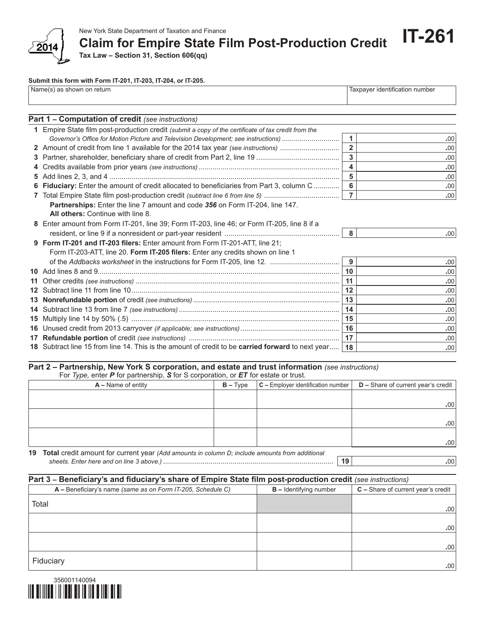

**Claim for Empire State Film Post-Production Credit**

**Tax Law – Section 31, Section 606(qq)**

## **Submit this form with Form IT-201, IT-203, IT-204, or IT-205.**

| Name(s) as shown on return | Taxpayer identification number |
|----------------------------|--------------------------------|
|                            |                                |

| Part 1 - Computation of credit (see instructions)                                                   |                |      |
|-----------------------------------------------------------------------------------------------------|----------------|------|
| 1 Empire State film post-production credit (submit a copy of the certificate of tax credit from the |                |      |
| Governor's Office for Motion Picture and Television Development; see instructions)                  | $\mathbf{1}$   | .00  |
| 2 Amount of credit from line 1 available for the 2014 tax year (see instructions)                   | $\overline{2}$ | .00  |
|                                                                                                     | $\overline{3}$ | .00  |
|                                                                                                     | 4              | .00  |
|                                                                                                     | 5              | .00  |
| 6 Fiduciary: Enter the amount of credit allocated to beneficiaries from Part 3, column C            | $6\phantom{a}$ | .00  |
|                                                                                                     | $\overline{7}$ | .00  |
| Partnerships: Enter the line 7 amount and code 356 on Form IT-204, line 147.                        |                |      |
| All others: Continue with line 8.                                                                   |                |      |
| 8 Enter amount from Form IT-201, line 39; Form IT-203, line 46; or Form IT-205, line 8 if a         |                |      |
|                                                                                                     | 8              | .00. |
| 9 Form IT-201 and IT-203 filers: Enter amount from Form IT-201-ATT, line 21;                        |                |      |
| Form IT-203-ATT, line 20. Form IT-205 filers: Enter any credits shown on line 1                     |                |      |
|                                                                                                     | 9              | .00  |
|                                                                                                     | 10             | .00  |
|                                                                                                     | 11             | .00  |
|                                                                                                     | 12             | .00  |
|                                                                                                     |                | .00  |
|                                                                                                     | 14             | .00  |
|                                                                                                     | 15             | .00  |
|                                                                                                     | 16             | .00  |
|                                                                                                     | 17             | .00  |
| 18 Subtract line 15 from line 14. This is the amount of credit to be carried forward to next year   | 18             | .00  |

## **Part 2 – Partnership, New York S corporation, and estate and trust information** *(see instructions)*

For *Type,* enter *P* for partnership, *S* for S corporation, or *ET* for estate or trust.

| $A - Name$ of entity                                                                              | $B - Type$ | $ C -$ Employer identification number $ $ | $D$ – Share of current year's credit |
|---------------------------------------------------------------------------------------------------|------------|-------------------------------------------|--------------------------------------|
|                                                                                                   |            |                                           |                                      |
|                                                                                                   |            |                                           | .00                                  |
|                                                                                                   |            |                                           |                                      |
|                                                                                                   |            |                                           | .00                                  |
|                                                                                                   |            |                                           |                                      |
|                                                                                                   |            |                                           | .00                                  |
| 10 Total credit amount for current year (Add emounts in solumn D; include emounts from additional |            |                                           |                                      |

**19 Total** credit amount for current year *(Add amounts in column D; include amounts from additional sheets. Enter here and on line 3 above.)* ...................................................................................... **19 .**00

**IT-261**

| Part 3 - Beneficiary's and fiduciary's share of Empire State film post-production credit (see instructions) |                          |                                    |  |  |
|-------------------------------------------------------------------------------------------------------------|--------------------------|------------------------------------|--|--|
| A – Beneficiary's name (same as on Form IT-205, Schedule C)                                                 | $B$ – Identifying number | C - Share of current year's credit |  |  |
| Total                                                                                                       |                          | .00.                               |  |  |
|                                                                                                             |                          |                                    |  |  |
|                                                                                                             |                          | .00.                               |  |  |
|                                                                                                             |                          | .00 <sub>1</sub>                   |  |  |
| Fiduciary                                                                                                   |                          | .00 <sub>1</sub>                   |  |  |